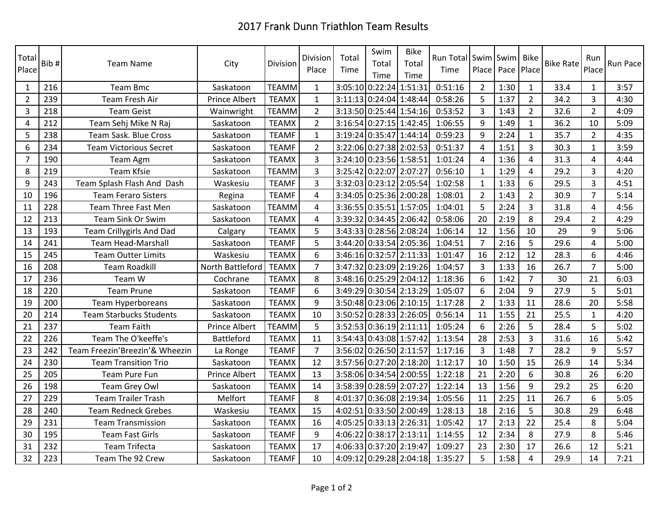## 2017 Frank Dunn Triathlon Team Results

| Total<br>Place | Bib# | <b>Team Name</b>                | City                 | Division     | Division<br>Place | Total<br>Time | Swim<br>Total<br>Time   | <b>Bike</b><br>Total<br>Time | <b>Run Total</b><br>Time | Swim Swim<br>Place |      | <b>Bike</b><br>Pace Place | <b>Bike Rate</b> | Run<br>Place   | Run Pace |
|----------------|------|---------------------------------|----------------------|--------------|-------------------|---------------|-------------------------|------------------------------|--------------------------|--------------------|------|---------------------------|------------------|----------------|----------|
| $\mathbf{1}$   | 216  | <b>Team Bmc</b>                 | Saskatoon            | <b>TEAMM</b> | $\mathbf{1}$      | 3:05:10       | 0:22:24                 | 1:51:31                      | 0:51:16                  | $\overline{2}$     | 1:30 | $\mathbf{1}$              | 33.4             | $\mathbf{1}$   | 3:57     |
| $\overline{2}$ | 239  | <b>Team Fresh Air</b>           | <b>Prince Albert</b> | <b>TEAMX</b> | $\mathbf{1}$      | 3:11:13       | 0:24:04 1:48:44         |                              | 0:58:26                  | 5                  | 1:37 | $\overline{2}$            | 34.2             | $\overline{3}$ | 4:30     |
| 3              | 218  | <b>Team Geist</b>               | Wainwright           | <b>TEAMM</b> | $\overline{2}$    |               | 3:13:50 0:25:44 1:54:16 |                              | 0:53:52                  | 3                  | 1:43 | $\overline{2}$            | 32.6             | $\overline{2}$ | 4:09     |
| 4              | 212  | Team Sehj Mike N Raj            | Saskatoon            | <b>TEAMX</b> | $\overline{2}$    |               | 3:16:54 0:27:15 1:42:45 |                              | 1:06:55                  | 9                  | 1:49 | $\mathbf{1}$              | 36.2             | 10             | 5:09     |
| 5              | 238  | Team Sask. Blue Cross           | Saskatoon            | <b>TEAMF</b> | $\mathbf{1}$      |               | 3:19:24 0:35:47 1:44:14 |                              | 0:59:23                  | 9                  | 2:24 | $\mathbf{1}$              | 35.7             | $\overline{2}$ | 4:35     |
| 6              | 234  | <b>Team Victorious Secret</b>   | Saskatoon            | <b>TEAMF</b> | $\overline{2}$    | 3:22:06       | 0:27:38 2:02:53         |                              | 0:51:37                  | $\overline{a}$     | 1:51 | 3                         | 30.3             | $\mathbf{1}$   | 3:59     |
| $\overline{7}$ | 190  | Team Agm                        | Saskatoon            | <b>TEAMX</b> | $\overline{3}$    | 3:24:10       | 0:23:56 1:58:51         |                              | 1:01:24                  | 4                  | 1:36 | 4                         | 31.3             | $\overline{a}$ | 4:44     |
| 8              | 219  | Team Kfsie                      | Saskatoon            | <b>TEAMM</b> | 3                 | 3:25:42       | 0:22:07 2:07:27         |                              | 0:56:10                  | $\mathbf{1}$       | 1:29 | 4                         | 29.2             | 3              | 4:20     |
| 9              | 243  | Team Splash Flash And Dash      | Waskesiu             | <b>TEAMF</b> | $\overline{3}$    | 3:32:03       | 0:23:12 2:05:54         |                              | 1:02:58                  | $\mathbf{1}$       | 1:33 | 6                         | 29.5             | 3              | 4:51     |
| 10             | 196  | <b>Team Feraro Sisters</b>      | Regina               | <b>TEAMF</b> | 4                 | 3:34:05       | 0:25:36 2:00:28         |                              | 1:08:01                  | $\overline{2}$     | 1:43 | $\overline{2}$            | 30.9             | $\overline{7}$ | 5:14     |
| 11             | 228  | Team Three Fast Men             | Saskatoon            | <b>TEAMM</b> | 4                 | 3:36:55       | 0:35:51 1:57:05         |                              | 1:04:01                  | 5                  | 2:24 | 3                         | 31.8             | 4              | 4:56     |
| 12             | 213  | Team Sink Or Swim               | Saskatoon            | <b>TEAMX</b> | 4                 | 3:39:32       | 0:34:45 2:06:42         |                              | 0:58:06                  | 20                 | 2:19 | 8                         | 29.4             | $\overline{2}$ | 4:29     |
| 13             | 193  | <b>Team Crillygirls And Dad</b> | Calgary              | <b>TEAMX</b> | 5                 |               | 3:43:33 0:28:56 2:08:24 |                              | 1:06:14                  | 12                 | 1:56 | 10                        | 29               | 9              | 5:06     |
| 14             | 241  | <b>Team Head-Marshall</b>       | Saskatoon            | <b>TEAMF</b> | 5                 | 3:44:20       | 0:33:54 2:05:36         |                              | 1:04:51                  | $\overline{7}$     | 2:16 | 5                         | 29.6             | 4              | 5:00     |
| 15             | 245  | <b>Team Outter Limits</b>       | Waskesiu             | <b>TEAMX</b> | 6                 |               | 3:46:16 0:32:57 2:11:33 |                              | 1:01:47                  | 16                 | 2:12 | 12                        | 28.3             | 6              | 4:46     |
| 16             | 208  | <b>Team Roadkill</b>            | North Battleford     | <b>TEAMX</b> | $\overline{7}$    | 3:47:32       | $0:23:09$ 2:19:26       |                              | 1:04:57                  | 3                  | 1:33 | 16                        | 26.7             | $\overline{7}$ | 5:00     |
| 17             | 236  | Team W                          | Cochrane             | <b>TEAMX</b> | 8                 |               | 3:48:16 0:25:29 2:04:12 |                              | 1:18:36                  | 6                  | 1:42 | $\overline{7}$            | 30               | 21             | 6:03     |
| 18             | 220  | <b>Team Prune</b>               | Saskatoon            | <b>TEAMF</b> | 6                 | 3:49:29       | 0:30:54 2:13:29         |                              | 1:05:07                  | 6                  | 2:04 | 9                         | 27.9             | 5              | 5:01     |
| 19             | 200  | Team Hyperboreans               | Saskatoon            | <b>TEAMX</b> | 9                 |               | 3:50:48 0:23:06 2:10:15 |                              | 1:17:28                  | $\overline{2}$     | 1:33 | 11                        | 28.6             | 20             | 5:58     |
| 20             | 214  | <b>Team Starbucks Students</b>  | Saskatoon            | <b>TEAMX</b> | 10                | 3:50:52       | $0:28:33$ 2:26:05       |                              | 0:56:14                  | 11                 | 1:55 | 21                        | 25.5             | $\mathbf{1}$   | 4:20     |
| 21             | 237  | <b>Team Faith</b>               | Prince Albert        | <b>TEAMM</b> | 5                 | 3:52:53       | $0:36:19$ 2:11:11       |                              | 1:05:24                  | 6                  | 2:26 | 5                         | 28.4             | 5              | 5:02     |
| 22             | 226  | Team The O'keeffe's             | <b>Battleford</b>    | <b>TEAMX</b> | 11                |               | 3:54:43 0:43:08 1:57:42 |                              | 1:13:54                  | 28                 | 2:53 | 3                         | 31.6             | 16             | 5:42     |
| 23             | 242  | Team Freezin'Breezin'& Wheezin  | La Ronge             | <b>TEAMF</b> | $\overline{7}$    |               | 3:56:02 0:26:50 2:11:57 |                              | 1:17:16                  | 3                  | 1:48 | $\overline{7}$            | 28.2             | 9              | 5:57     |
| 24             | 230  | <b>Team Transition Trio</b>     | Saskatoon            | <b>TEAMX</b> | 12                | 3:57:56       | $0:27:20$ 2:18:20       |                              | 1:12:17                  | 10                 | 1:50 | 15                        | 26.9             | 14             | 5:34     |
| 25             | 205  | Team Pure Fun                   | <b>Prince Albert</b> | <b>TEAMX</b> | 13                | 3:58:06       | 0:34:54 2:00:55         |                              | 1:22:18                  | 21                 | 2:20 | 6                         | 30.8             | 26             | 6:20     |
| 26             | 198  | Team Grey Owl                   | Saskatoon            | <b>TEAMX</b> | 14                | 3:58:39       | 0:28:59 2:07:27         |                              | 1:22:14                  | 13                 | 1:56 | 9                         | 29.2             | 25             | 6:20     |
| 27             | 229  | Team Trailer Trash              | Melfort              | <b>TEAMF</b> | 8                 | 4:01:37       | 0:36:08 2:19:34         |                              | 1:05:56                  | 11                 | 2:25 | 11                        | 26.7             | 6              | 5:05     |
| 28             | 240  | <b>Team Redneck Grebes</b>      | Waskesiu             | <b>TEAMX</b> | 15                | 4:02:51       | 0:33:50 2:00:49         |                              | 1:28:13                  | 18                 | 2:16 | 5                         | 30.8             | 29             | 6:48     |
| 29             | 231  | <b>Team Transmission</b>        | Saskatoon            | <b>TEAMX</b> | 16                |               | 4:05:25 0:33:13 2:26:31 |                              | 1:05:42                  | 17                 | 2:13 | 22                        | 25.4             | 8              | 5:04     |
| 30             | 195  | <b>Team Fast Girls</b>          | Saskatoon            | <b>TEAMF</b> | 9                 | 4:06:22       | $0:38:17$ 2:13:11       |                              | 1:14:55                  | 12                 | 2:34 | 8                         | 27.9             | 8              | 5:46     |
| 31             | 232  | <b>Team Trifecta</b>            | Saskatoon            | <b>TEAMX</b> | 17                |               | 4:06:33 0:37:20 2:19:47 |                              | 1:09:27                  | 23                 | 2:30 | 17                        | 26.6             | 12             | 5:21     |
| 32             | 223  | Team The 92 Crew                | Saskatoon            | <b>TEAMF</b> | 10                |               |                         | 4:09:12 0:29:28 2:04:18      | 1:35:27                  | 5                  | 1:58 | 4                         | 29.9             | 14             | 7:21     |